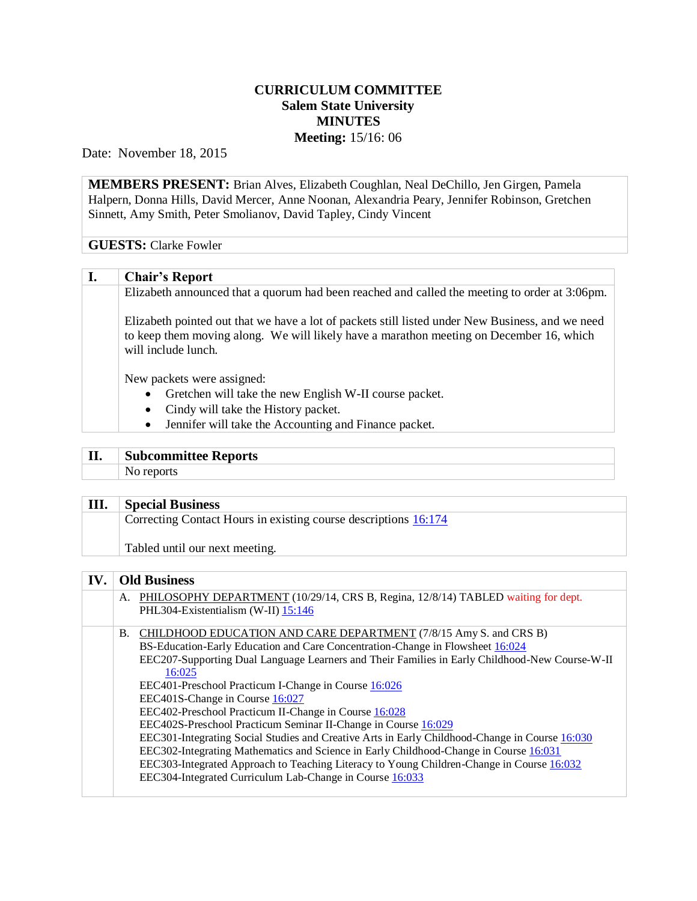## **CURRICULUM COMMITTEE Salem State University MINUTES Meeting:** 15/16: 06

Date: November 18, 2015

**MEMBERS PRESENT:** Brian Alves, Elizabeth Coughlan, Neal DeChillo, Jen Girgen, Pamela Halpern, Donna Hills, David Mercer, Anne Noonan, Alexandria Peary, Jennifer Robinson, Gretchen Sinnett, Amy Smith, Peter Smolianov, David Tapley, Cindy Vincent

## **GUESTS:** Clarke Fowler

## **I. Chair's Report**

Elizabeth announced that a quorum had been reached and called the meeting to order at 3:06pm.

Elizabeth pointed out that we have a lot of packets still listed under New Business, and we need to keep them moving along. We will likely have a marathon meeting on December 16, which will include lunch.

New packets were assigned:

- Gretchen will take the new English W-II course packet.
- Cindy will take the History packet.
- Jennifer will take the Accounting and Finance packet.

# **II. Subcommittee Reports**

No reports

#### **III. Special Business**

Correcting Contact Hours in existing course descriptions [16:174](http://www.salemstate.edu/6780.php?trackingNum=16:174&search=all)

Tabled until our next meeting.

### **IV. Old Business**

|  | A. PHILOSOPHY DEPARTMENT (10/29/14, CRS B, Regina, 12/8/14) TABLED waiting for dept.<br>PHL304-Existentialism (W-II) $15:146$ |
|--|-------------------------------------------------------------------------------------------------------------------------------|
|  | B. CHILDHOOD EDUCATION AND CARE DEPARTMENT (7/8/15 Amy S. and CRS B)                                                          |

BS-Education-Early Education and Care Concentration-Change in Flowsheet [16:024](http://www.salemstate.edu/6780.php?trackingNum=16:024&search=all) EEC207-Supporting Dual Language Learners and Their Families in Early Childhood-New Course-W-II [16:025](http://www.salemstate.edu/6780.php?trackingNum=16:025&search=all)

- EEC401-Preschool Practicum I-Change in Course [16:026](http://www.salemstate.edu/6780.php?trackingNum=16:026&search=all)
- EEC401S-Change in Course [16:027](http://www.salemstate.edu/6780.php?trackingNum=16:027&search=all)
- EEC402-Preschool Practicum II-Change in Course [16:028](http://www.salemstate.edu/6780.php?trackingNum=16:028&search=all)
- EEC402S-Preschool Practicum Seminar II-Change in Course [16:029](http://www.salemstate.edu/6780.php?trackingNum=16:029&search=all)
- EEC301-Integrating Social Studies and Creative Arts in Early Childhood-Change in Course [16:030](http://www.salemstate.edu/6780.php?trackingNum=16:030&search=all)
- EEC302-Integrating Mathematics and Science in Early Childhood-Change in Course [16:031](http://www.salemstate.edu/6780.php?trackingNum=16:031&search=all)
- EEC303-Integrated Approach to Teaching Literacy to Young Children-Change in Course [16:032](http://www.salemstate.edu/6780.php?trackingNum=16:032&search=all)
- EEC304-Integrated Curriculum Lab-Change in Course [16:033](http://www.salemstate.edu/6780.php?trackingNum=16:033&search=all)